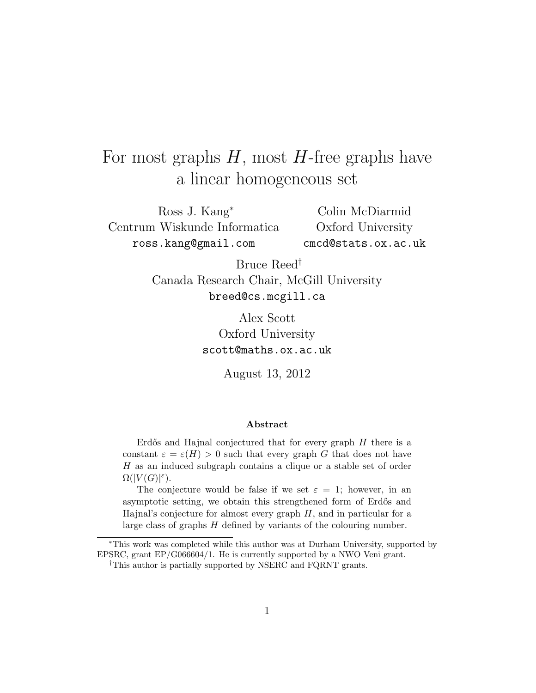# For most graphs  $H$ , most  $H$ -free graphs have a linear homogeneous set

Ross J. Kang<sup>∗</sup> Centrum Wiskunde Informatica ross.kang@gmail.com

Colin McDiarmid Oxford University cmcd@stats.ox.ac.uk

Bruce Reed† Canada Research Chair, McGill University breed@cs.mcgill.ca

> Alex Scott Oxford University scott@maths.ox.ac.uk

> > August 13, 2012

#### Abstract

Erdős and Hajnal conjectured that for every graph  $H$  there is a constant  $\varepsilon = \varepsilon(H) > 0$  such that every graph G that does not have H as an induced subgraph contains a clique or a stable set of order  $\Omega(|V(G)|^{\varepsilon}).$ 

The conjecture would be false if we set  $\varepsilon = 1$ ; however, in an asymptotic setting, we obtain this strengthened form of Erdős and Hajnal's conjecture for almost every graph  $H$ , and in particular for a large class of graphs  $H$  defined by variants of the colouring number.

<sup>∗</sup>This work was completed while this author was at Durham University, supported by EPSRC, grant EP/G066604/1. He is currently supported by a NWO Veni grant.

<sup>†</sup>This author is partially supported by NSERC and FQRNT grants.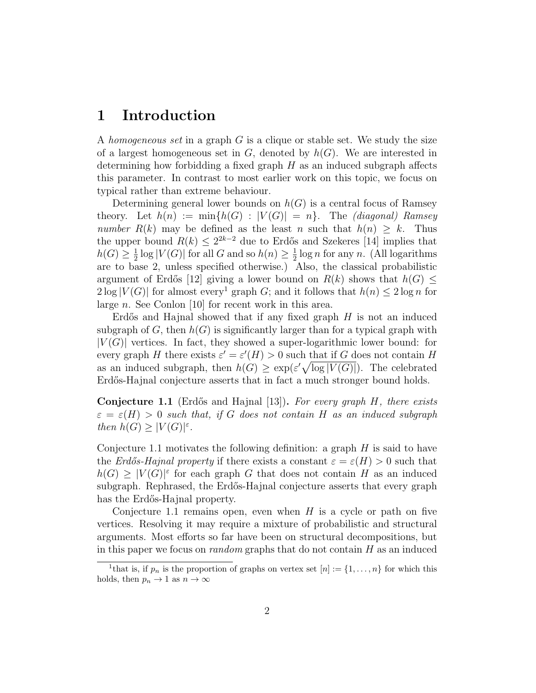### 1 Introduction

A homogeneous set in a graph  $G$  is a clique or stable set. We study the size of a largest homogeneous set in  $G$ , denoted by  $h(G)$ . We are interested in determining how forbidding a fixed graph  $H$  as an induced subgraph affects this parameter. In contrast to most earlier work on this topic, we focus on typical rather than extreme behaviour.

Determining general lower bounds on  $h(G)$  is a central focus of Ramsey theory. Let  $h(n) := \min\{h(G) : |V(G)| = n\}$ . The *(diagonal)* Ramsey number  $R(k)$  may be defined as the least n such that  $h(n) \geq k$ . Thus the upper bound  $R(k) \leq 2^{2k-2}$  due to Erdős and Szekeres [14] implies that  $h(G) \geq \frac{1}{2}$  $\frac{1}{2}$  log  $|V(G)|$  for all G and so  $h(n) \geq \frac{1}{2}$  $\frac{1}{2} \log n$  for any n. (All logarithms are to base 2, unless specified otherwise.) Also, the classical probabilistic argument of Erdős [12] giving a lower bound on  $R(k)$  shows that  $h(G)$  <  $2\log |V(G)|$  for almost every<sup>1</sup> graph G; and it follows that  $h(n) \leq 2\log n$  for large n. See Conlon [10] for recent work in this area.

Erdős and Hajnal showed that if any fixed graph  $H$  is not an induced subgraph of G, then  $h(G)$  is significantly larger than for a typical graph with  $|V(G)|$  vertices. In fact, they showed a super-logarithmic lower bound: for every graph H there exists  $\varepsilon' = \varepsilon'(H) > 0$  such that if G does not contain H as an induced subgraph, then  $h(G) \geq \exp(\varepsilon' \sqrt{\log |V(G)|})$ . The celebrated Erdős-Hajnal conjecture asserts that in fact a much stronger bound holds.

**Conjecture 1.1** (Erdős and Hajnal [13]). For every graph  $H$ , there exists  $\varepsilon = \varepsilon(H) > 0$  such that, if G does not contain H as an induced subgraph then  $h(G) \geq |V(G)|^{\varepsilon}$ .

Conjecture 1.1 motivates the following definition: a graph  $H$  is said to have the Erdős-Hajnal property if there exists a constant  $\varepsilon = \varepsilon(H) > 0$  such that  $h(G) \geq |V(G)|^{\varepsilon}$  for each graph G that does not contain H as an induced subgraph. Rephrased, the Erd˝os-Hajnal conjecture asserts that every graph has the Erdős-Hajnal property.

Conjecture 1.1 remains open, even when  $H$  is a cycle or path on five vertices. Resolving it may require a mixture of probabilistic and structural arguments. Most efforts so far have been on structural decompositions, but in this paper we focus on *random* graphs that do not contain  $H$  as an induced

<sup>&</sup>lt;sup>1</sup>that is, if  $p_n$  is the proportion of graphs on vertex set  $[n] := \{1, \ldots, n\}$  for which this holds, then  $p_n \to 1$  as  $n \to \infty$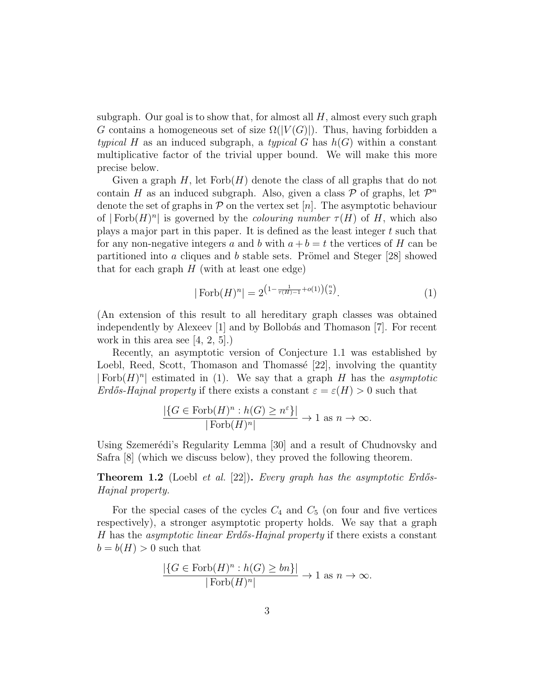subgraph. Our goal is to show that, for almost all  $H$ , almost every such graph G contains a homogeneous set of size  $\Omega(|V(G)|)$ . Thus, having forbidden a typical H as an induced subgraph, a typical G has  $h(G)$  within a constant multiplicative factor of the trivial upper bound. We will make this more precise below.

Given a graph  $H$ , let  $Forb(H)$  denote the class of all graphs that do not contain H as an induced subgraph. Also, given a class  $P$  of graphs, let  $P^n$ denote the set of graphs in  $P$  on the vertex set  $[n]$ . The asymptotic behaviour of  $|Forb(H)<sup>n</sup>|$  is governed by the *colouring number*  $\tau(H)$  of H, which also plays a major part in this paper. It is defined as the least integer t such that for any non-negative integers a and b with  $a + b = t$  the vertices of H can be partitioned into a cliques and b stable sets. Prömel and Steger  $[28]$  showed that for each graph  $H$  (with at least one edge)

$$
|\operatorname{Forb}(H)^n| = 2^{\left(1 - \frac{1}{\tau(H) - 1} + o(1)\right)\binom{n}{2}}.
$$
\n(1)

(An extension of this result to all hereditary graph classes was obtained independently by Alexeev  $\begin{bmatrix} 1 \end{bmatrix}$  and by Bollobás and Thomason  $\begin{bmatrix} 7 \end{bmatrix}$ . For recent work in this area see  $(4, 2, 5)$ .

Recently, an asymptotic version of Conjecture 1.1 was established by Loebl, Reed, Scott, Thomason and Thomassé [22], involving the quantity  $|\text{Forb}(H)^n|$  estimated in (1). We say that a graph H has the asymptotic Erdős-Hajnal property if there exists a constant  $\varepsilon = \varepsilon(H) > 0$  such that

$$
\frac{|\{G \in \text{Forb}(H)^n : h(G) \ge n^{\varepsilon}\}|}{|\text{Forb}(H)^n|} \to 1 \text{ as } n \to \infty.
$$

Using Szemerédi's Regularity Lemma [30] and a result of Chudnovsky and Safra [8] (which we discuss below), they proved the following theorem.

**Theorem 1.2** (Loebl et al. [22]). Every graph has the asymptotic Erdős-Hajnal property.

For the special cases of the cycles  $C_4$  and  $C_5$  (on four and five vertices respectively), a stronger asymptotic property holds. We say that a graph H has the *asymptotic linear Erdős-Hajnal property* if there exists a constant  $b = b(H) > 0$  such that

$$
\frac{|\{G \in \text{Forb}(H)^n : h(G) \ge bn\}|}{|\text{Forb}(H)^n|} \to 1 \text{ as } n \to \infty.
$$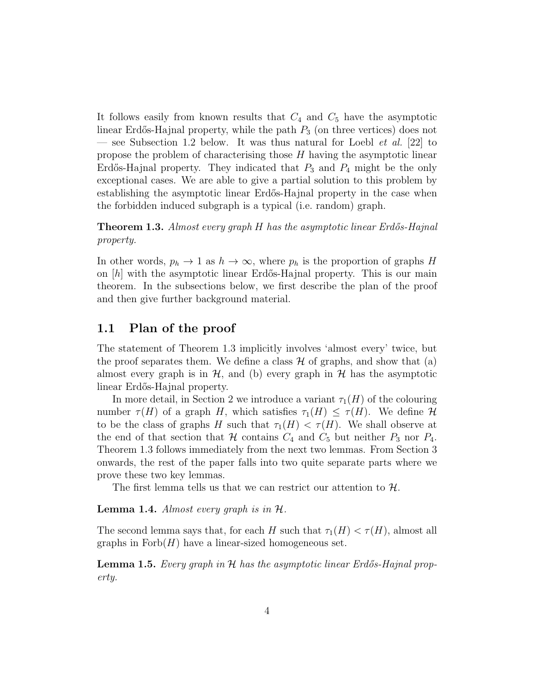It follows easily from known results that  $C_4$  and  $C_5$  have the asymptotic linear Erdős-Hajnal property, while the path  $P_3$  (on three vertices) does not — see Subsection 1.2 below. It was thus natural for Loebl *et al.* [22] to propose the problem of characterising those H having the asymptotic linear Erdős-Hajnal property. They indicated that  $P_3$  and  $P_4$  might be the only exceptional cases. We are able to give a partial solution to this problem by establishing the asymptotic linear Erdős-Hajnal property in the case when the forbidden induced subgraph is a typical (i.e. random) graph.

#### **Theorem 1.3.** Almost every graph H has the asymptotic linear Erdős-Hajnal property.

In other words,  $p_h \to 1$  as  $h \to \infty$ , where  $p_h$  is the proportion of graphs H on  $[h]$  with the asymptotic linear Erdős-Hajnal property. This is our main theorem. In the subsections below, we first describe the plan of the proof and then give further background material.

### 1.1 Plan of the proof

The statement of Theorem 1.3 implicitly involves 'almost every' twice, but the proof separates them. We define a class  $\mathcal H$  of graphs, and show that (a) almost every graph is in  $H$ , and (b) every graph in  $H$  has the asymptotic linear Erdős-Hajnal property.

In more detail, in Section 2 we introduce a variant  $\tau_1(H)$  of the colouring number  $\tau(H)$  of a graph H, which satisfies  $\tau_1(H) \leq \tau(H)$ . We define H to be the class of graphs H such that  $\tau_1(H) < \tau(H)$ . We shall observe at the end of that section that H contains  $C_4$  and  $C_5$  but neither  $P_3$  nor  $P_4$ . Theorem 1.3 follows immediately from the next two lemmas. From Section 3 onwards, the rest of the paper falls into two quite separate parts where we prove these two key lemmas.

The first lemma tells us that we can restrict our attention to  $\mathcal{H}$ .

**Lemma 1.4.** Almost every graph is in  $H$ .

The second lemma says that, for each H such that  $\tau_1(H) < \tau(H)$ , almost all graphs in  $\text{Forb}(H)$  have a linear-sized homogeneous set.

**Lemma 1.5.** Every graph in  $H$  has the asymptotic linear Erdős-Hajnal property.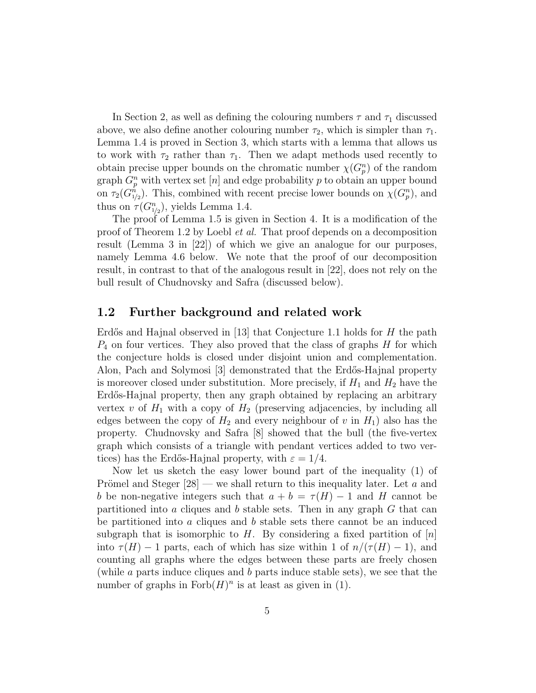In Section 2, as well as defining the colouring numbers  $\tau$  and  $\tau_1$  discussed above, we also define another colouring number  $\tau_2$ , which is simpler than  $\tau_1$ . Lemma 1.4 is proved in Section 3, which starts with a lemma that allows us to work with  $\tau_2$  rather than  $\tau_1$ . Then we adapt methods used recently to obtain precise upper bounds on the chromatic number  $\chi(G_p^n)$  of the random graph  $G_p^n$  with vertex set  $[n]$  and edge probability p to obtain an upper bound on  $\tau_2(G_{1/2}^n)$ . This, combined with recent precise lower bounds on  $\chi(G_p^n)$ , and thus on  $\tau(G_{1/2}^n)$ , yields Lemma 1.4.

The proof of Lemma 1.5 is given in Section 4. It is a modification of the proof of Theorem 1.2 by Loebl et al. That proof depends on a decomposition result (Lemma 3 in [22]) of which we give an analogue for our purposes, namely Lemma 4.6 below. We note that the proof of our decomposition result, in contrast to that of the analogous result in [22], does not rely on the bull result of Chudnovsky and Safra (discussed below).

#### 1.2 Further background and related work

Erdős and Hajnal observed in [13] that Conjecture 1.1 holds for  $H$  the path  $P_4$  on four vertices. They also proved that the class of graphs  $H$  for which the conjecture holds is closed under disjoint union and complementation. Alon, Pach and Solymosi [3] demonstrated that the Erdős-Hajnal property is moreover closed under substitution. More precisely, if  $H_1$  and  $H_2$  have the Erdős-Hajnal property, then any graph obtained by replacing an arbitrary vertex v of  $H_1$  with a copy of  $H_2$  (preserving adjacencies, by including all edges between the copy of  $H_2$  and every neighbour of v in  $H_1$ ) also has the property. Chudnovsky and Safra [8] showed that the bull (the five-vertex graph which consists of a triangle with pendant vertices added to two vertices) has the Erdős-Hajnal property, with  $\varepsilon = 1/4$ .

Now let us sketch the easy lower bound part of the inequality (1) of Prömel and Steger  $[28]$  — we shall return to this inequality later. Let a and b be non-negative integers such that  $a + b = \tau(H) - 1$  and H cannot be partitioned into a cliques and b stable sets. Then in any graph  $G$  that can be partitioned into a cliques and b stable sets there cannot be an induced subgraph that is isomorphic to H. By considering a fixed partition of  $[n]$ into  $\tau(H) - 1$  parts, each of which has size within 1 of  $n/(\tau(H) - 1)$ , and counting all graphs where the edges between these parts are freely chosen (while a parts induce cliques and b parts induce stable sets), we see that the number of graphs in  $\text{Forb}(H)^n$  is at least as given in (1).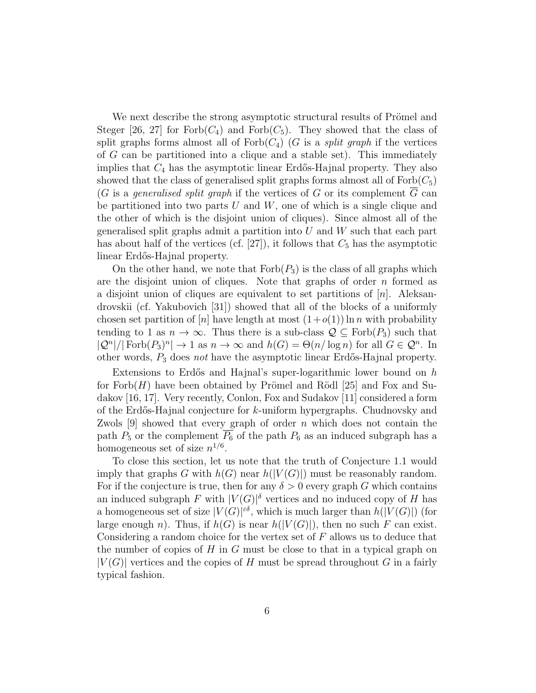We next describe the strong asymptotic structural results of Prömel and Steger [26, 27] for  $Forb(C_4)$  and  $Forb(C_5)$ . They showed that the class of split graphs forms almost all of  $Forb(C_4)$  (G is a *split graph* if the vertices of G can be partitioned into a clique and a stable set). This immediately implies that  $C_4$  has the asymptotic linear Erdős-Hajnal property. They also showed that the class of generalised split graphs forms almost all of  $\text{Forb}(C_5)$ (G is a generalised split graph if the vertices of G or its complement  $\overline{G}$  can be partitioned into two parts U and W, one of which is a single clique and the other of which is the disjoint union of cliques). Since almost all of the generalised split graphs admit a partition into  $U$  and  $W$  such that each part has about half of the vertices (cf.  $[27]$ ), it follows that  $C_5$  has the asymptotic linear Erdős-Hajnal property.

On the other hand, we note that  $Forb(P_3)$  is the class of all graphs which are the disjoint union of cliques. Note that graphs of order  $n$  formed as a disjoint union of cliques are equivalent to set partitions of  $[n]$ . Aleksandrovskii (cf. Yakubovich [31]) showed that all of the blocks of a uniformly chosen set partition of  $[n]$  have length at most  $(1+o(1))$  ln n with probability tending to 1 as  $n \to \infty$ . Thus there is a sub-class  $\mathcal{Q} \subseteq \text{Forb}(P_3)$  such that  $|Q^n|/|\text{Forb}(P_3)^n| \to 1 \text{ as } n \to \infty \text{ and } h(G) = \Theta(n/\log n) \text{ for all } G \in \mathcal{Q}^n.$  In other words,  $P_3$  does not have the asymptotic linear Erdős-Hajnal property.

Extensions to Erdős and Hajnal's super-logarithmic lower bound on  $h$ for Forb $(H)$  have been obtained by Prömel and Rödl [25] and Fox and Sudakov [16, 17]. Very recently, Conlon, Fox and Sudakov [11] considered a form of the Erdős-Hajnal conjecture for  $k$ -uniform hypergraphs. Chudnovsky and Zwols  $[9]$  showed that every graph of order n which does not contain the path  $P_5$  or the complement  $\overline{P_6}$  of the path  $P_6$  as an induced subgraph has a homogeneous set of size  $n^{1/6}$ .

To close this section, let us note that the truth of Conjecture 1.1 would imply that graphs G with  $h(G)$  near  $h(|V(G)|)$  must be reasonably random. For if the conjecture is true, then for any  $\delta > 0$  every graph G which contains an induced subgraph F with  $|V(G)|^{\delta}$  vertices and no induced copy of H has a homogeneous set of size  $|V(G)|^{\epsilon \delta}$ , which is much larger than  $h(|V(G)|)$  (for large enough n). Thus, if  $h(G)$  is near  $h(|V(G)|)$ , then no such F can exist. Considering a random choice for the vertex set of  $F$  allows us to deduce that the number of copies of  $H$  in  $G$  must be close to that in a typical graph on  $|V(G)|$  vertices and the copies of H must be spread throughout G in a fairly typical fashion.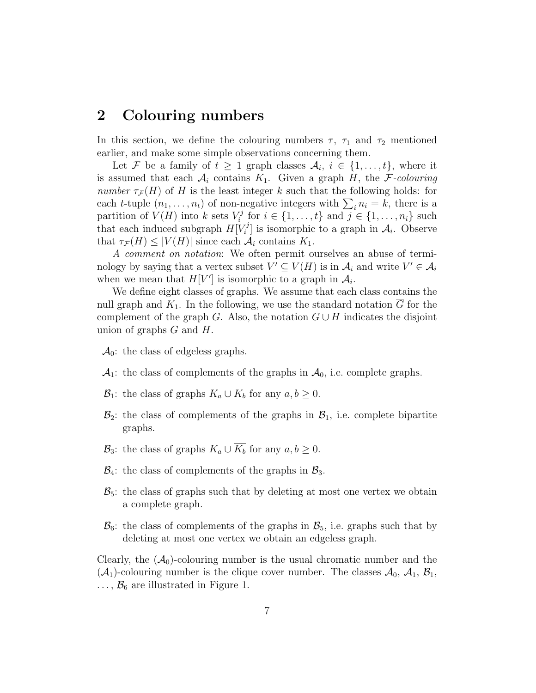### 2 Colouring numbers

In this section, we define the colouring numbers  $\tau$ ,  $\tau_1$  and  $\tau_2$  mentioned earlier, and make some simple observations concerning them.

Let F be a family of  $t \geq 1$  graph classes  $\mathcal{A}_i, i \in \{1, \ldots, t\}$ , where it is assumed that each  $\mathcal{A}_i$  contains  $K_1$ . Given a graph H, the F-colouring number  $\tau_{\mathcal{F}}(H)$  of H is the least integer k such that the following holds: for each *t*-tuple  $(n_1, \ldots, n_t)$  of non-negative integers with  $\sum_i n_i = k$ , there is a partition of  $V(H)$  into k sets  $V_i^j$  $i^j$  for  $i \in \{1, ..., t\}$  and  $j \in \{1, ..., n_i\}$  such that each induced subgraph  $H[V_i]$  $[\mathcal{A}_i]$  is isomorphic to a graph in  $\mathcal{A}_i$ . Observe that  $\tau_{\mathcal{F}}(H) \leq |V(H)|$  since each  $\mathcal{A}_i$  contains  $K_1$ .

A comment on notation: We often permit ourselves an abuse of terminology by saying that a vertex subset  $V' \subseteq V(H)$  is in  $\mathcal{A}_i$  and write  $V' \in \mathcal{A}_i$ when we mean that  $H[V']$  is isomorphic to a graph in  $\mathcal{A}_i$ .

We define eight classes of graphs. We assume that each class contains the null graph and  $K_1$ . In the following, we use the standard notation  $\overline{G}$  for the complement of the graph G. Also, the notation  $G \cup H$  indicates the disjoint union of graphs  $G$  and  $H$ .

- $\mathcal{A}_0$ : the class of edgeless graphs.
- $\mathcal{A}_1$ : the class of complements of the graphs in  $\mathcal{A}_0$ , i.e. complete graphs.
- $\mathcal{B}_1$ : the class of graphs  $K_a \cup K_b$  for any  $a, b \geq 0$ .
- $\mathcal{B}_2$ : the class of complements of the graphs in  $\mathcal{B}_1$ , i.e. complete bipartite graphs.
- $\mathcal{B}_3$ : the class of graphs  $K_a \cup \overline{K_b}$  for any  $a, b \geq 0$ .
- $\mathcal{B}_4$ : the class of complements of the graphs in  $\mathcal{B}_3$ .
- $\mathcal{B}_5$ : the class of graphs such that by deleting at most one vertex we obtain a complete graph.
- $\mathcal{B}_6$ : the class of complements of the graphs in  $\mathcal{B}_5$ , i.e. graphs such that by deleting at most one vertex we obtain an edgeless graph.

Clearly, the  $(\mathcal{A}_0)$ -colouring number is the usual chromatic number and the  $(\mathcal{A}_1)$ -colouring number is the clique cover number. The classes  $\mathcal{A}_0$ ,  $\mathcal{A}_1$ ,  $\mathcal{B}_1$ ,  $\ldots$ ,  $\mathcal{B}_6$  are illustrated in Figure 1.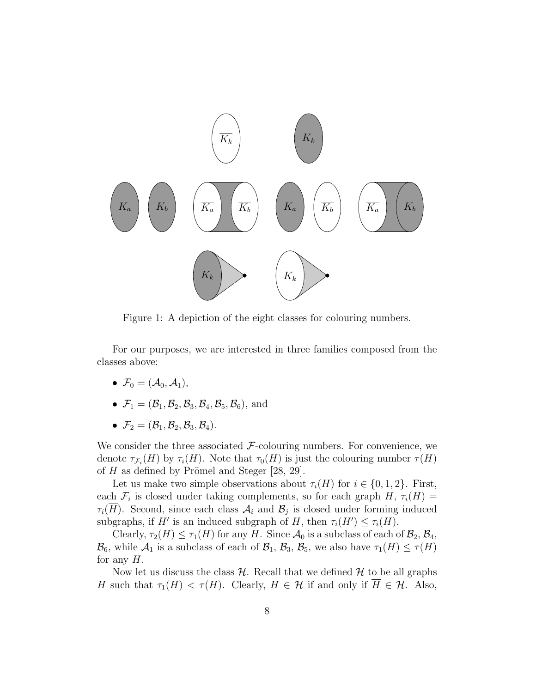

Figure 1: A depiction of the eight classes for colouring numbers.

For our purposes, we are interested in three families composed from the classes above:

- $\mathcal{F}_0 = (\mathcal{A}_0, \mathcal{A}_1),$
- $\mathcal{F}_1 = (\mathcal{B}_1, \mathcal{B}_2, \mathcal{B}_3, \mathcal{B}_4, \mathcal{B}_5, \mathcal{B}_6)$ , and
- $\mathcal{F}_2 = (\mathcal{B}_1, \mathcal{B}_2, \mathcal{B}_3, \mathcal{B}_4).$

We consider the three associated  $F$ -colouring numbers. For convenience, we denote  $\tau_{\mathcal{F}_i}(H)$  by  $\tau_i(H)$ . Note that  $\tau_0(H)$  is just the colouring number  $\tau(H)$ of  $H$  as defined by Prömel and Steger [28, 29].

Let us make two simple observations about  $\tau_i(H)$  for  $i \in \{0,1,2\}$ . First, each  $\mathcal{F}_i$  is closed under taking complements, so for each graph  $H$ ,  $\tau_i(H)$  =  $\tau_i(H)$ . Second, since each class  $\mathcal{A}_i$  and  $\mathcal{B}_j$  is closed under forming induced subgraphs, if H' is an induced subgraph of H, then  $\tau_i(H') \leq \tau_i(H)$ .

Clearly,  $\tau_2(H) \leq \tau_1(H)$  for any H. Since  $\mathcal{A}_0$  is a subclass of each of  $\mathcal{B}_2$ ,  $\mathcal{B}_4$ ,  $\mathcal{B}_6$ , while  $\mathcal{A}_1$  is a subclass of each of  $\mathcal{B}_1$ ,  $\mathcal{B}_3$ ,  $\mathcal{B}_5$ , we also have  $\tau_1(H) \leq \tau(H)$ for any  $H$ .

Now let us discuss the class  $H$ . Recall that we defined  $H$  to be all graphs H such that  $\tau_1(H) < \tau(H)$ . Clearly,  $H \in \mathcal{H}$  if and only if  $\overline{H} \in \mathcal{H}$ . Also,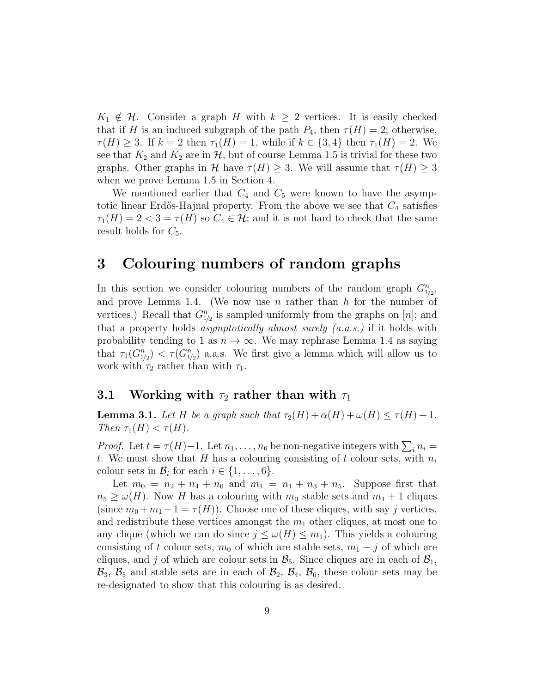$K_1 \notin \mathcal{H}$ . Consider a graph H with  $k \geq 2$  vertices. It is easily checked that if H is an induced subgraph of the path  $P_4$ , then  $\tau(H) = 2$ ; otherwise,  $\tau(H) \geq 3$ . If  $k = 2$  then  $\tau_1(H) = 1$ , while if  $k \in \{3, 4\}$  then  $\tau_1(H) = 2$ . We see that  $K_2$  and  $K_2$  are in  $H$ , but of course Lemma 1.5 is trivial for these two graphs. Other graphs in H have  $\tau(H) \geq 3$ . We will assume that  $\tau(H) \geq 3$ when we prove Lemma 1.5 in Section 4.

We mentioned earlier that  $C_4$  and  $C_5$  were known to have the asymptotic linear Erdős-Hajnal property. From the above we see that  $C_4$  satisfies  $\tau_1(H) = 2 < 3 = \tau(H)$  so  $C_4 \in \mathcal{H}$ ; and it is not hard to check that the same result holds for  $C_5$ .

## 3 Colouring numbers of random graphs

In this section we consider colouring numbers of the random graph  $G_{1/2}^n$ , and prove Lemma 1.4. (We now use  $n$  rather than  $h$  for the number of vertices.) Recall that  $G_{1/2}^n$  is sampled uniformly from the graphs on [n]; and that a property holds *asymptotically almost surely*  $(a.a.s.)$  if it holds with probability tending to 1 as  $n \to \infty$ . We may rephrase Lemma 1.4 as saying that  $\tau_1(G_{1/2}^n) < \tau(G_{1/2}^n)$  a.a.s. We first give a lemma which will allow us to work with  $\tau_2$  rather than with  $\tau_1$ .

## 3.1 Working with  $\tau_2$  rather than with  $\tau_1$

**Lemma 3.1.** Let H be a graph such that  $\tau_2(H) + \alpha(H) + \omega(H) \leq \tau(H) + 1$ . Then  $\tau_1(H) < \tau(H)$ .

*Proof.* Let  $t = \tau(H)-1$ . Let  $n_1, \ldots, n_6$  be non-negative integers with  $\sum_i n_i =$ t. We must show that H has a colouring consisting of t colour sets, with  $n_i$ colour sets in  $\mathcal{B}_i$  for each  $i \in \{1, \ldots, 6\}.$ 

Let  $m_0 = n_2 + n_4 + n_6$  and  $m_1 = n_1 + n_3 + n_5$ . Suppose first that  $n_5 \geq \omega(H)$ . Now H has a colouring with  $m_0$  stable sets and  $m_1 + 1$  cliques (since  $m_0 + m_1 + 1 = \tau(H)$ ). Choose one of these cliques, with say j vertices, and redistribute these vertices amongst the  $m_1$  other cliques, at most one to any clique (which we can do since  $j \leq \omega(H) \leq m_1$ ). This yields a colouring consisting of t colour sets,  $m_0$  of which are stable sets,  $m_1 - j$  of which are cliques, and j of which are colour sets in  $\mathcal{B}_5$ . Since cliques are in each of  $\mathcal{B}_1$ ,  $\mathcal{B}_3$ ,  $\mathcal{B}_5$  and stable sets are in each of  $\mathcal{B}_2$ ,  $\mathcal{B}_4$ ,  $\mathcal{B}_6$ , these colour sets may be re-designated to show that this colouring is as desired.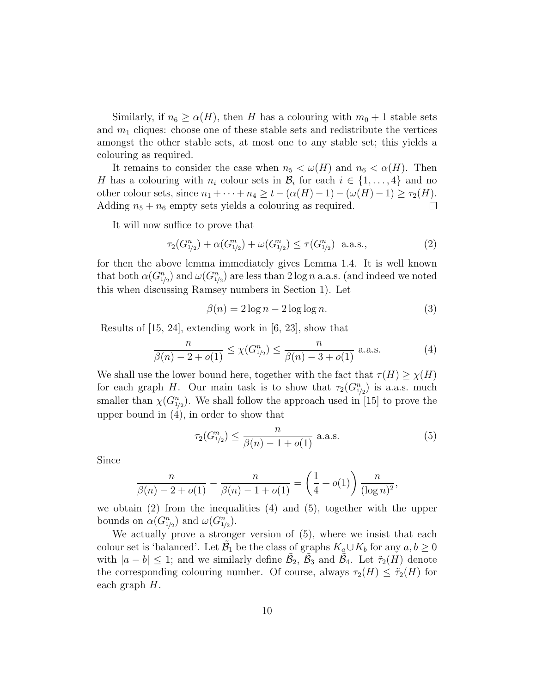Similarly, if  $n_6 \ge \alpha(H)$ , then H has a colouring with  $m_0 + 1$  stable sets and  $m_1$  cliques: choose one of these stable sets and redistribute the vertices amongst the other stable sets, at most one to any stable set; this yields a colouring as required.

It remains to consider the case when  $n_5 < \omega(H)$  and  $n_6 < \alpha(H)$ . Then H has a colouring with  $n_i$  colour sets in  $\mathcal{B}_i$  for each  $i \in \{1, \ldots, 4\}$  and no other colour sets, since  $n_1 + \cdots + n_4 \geq t - (\alpha(H) - 1) - (\omega(H) - 1) \geq \tau_2(H)$ . Adding  $n_5 + n_6$  empty sets yields a colouring as required.  $\Box$ 

It will now suffice to prove that

$$
\tau_2(G_{1/2}^n) + \alpha(G_{1/2}^n) + \omega(G_{1/2}^n) \le \tau(G_{1/2}^n) \quad \text{a.a.s.,}
$$
 (2)

for then the above lemma immediately gives Lemma 1.4. It is well known that both  $\alpha(G_{1/2}^n)$  and  $\omega(G_{1/2}^n)$  are less than  $2 \log n$  a.a.s. (and indeed we noted this when discussing Ramsey numbers in Section 1). Let

$$
\beta(n) = 2\log n - 2\log\log n. \tag{3}
$$

Results of [15, 24], extending work in [6, 23], show that

$$
\frac{n}{\beta(n) - 2 + o(1)} \le \chi(G_{1/2}^n) \le \frac{n}{\beta(n) - 3 + o(1)} \text{ a.a.s.}
$$
 (4)

We shall use the lower bound here, together with the fact that  $\tau(H) \geq \chi(H)$ for each graph H. Our main task is to show that  $\tau_2(G_{1/2}^n)$  is a.a.s. much smaller than  $\chi(G_{1/2}^n)$ . We shall follow the approach used in [15] to prove the upper bound in (4), in order to show that

$$
\tau_2(G_{1/2}^n) \le \frac{n}{\beta(n) - 1 + o(1)} \text{ a.a.s.}
$$
 (5)

Since

$$
\frac{n}{\beta(n) - 2 + o(1)} - \frac{n}{\beta(n) - 1 + o(1)} = \left(\frac{1}{4} + o(1)\right) \frac{n}{(\log n)^2},
$$

we obtain  $(2)$  from the inequalities  $(4)$  and  $(5)$ , together with the upper bounds on  $\alpha(G_{1/2}^n)$  and  $\omega(G_{1/2}^n)$ .

We actually prove a stronger version of  $(5)$ , where we insist that each colour set is 'balanced'. Let  $\tilde{\mathcal{B}}_1$  be the class of graphs  $K_a \cup K_b$  for any  $a, b \geq 0$ with  $|a - b| \leq 1$ ; and we similarly define  $\tilde{\mathcal{B}}_2$ ,  $\tilde{\mathcal{B}}_3$  and  $\tilde{\mathcal{B}}_4$ . Let  $\tilde{\tau}_2(H)$  denote the corresponding colouring number. Of course, always  $\tau_2(H) \leq \tilde{\tau}_2(H)$  for each graph H.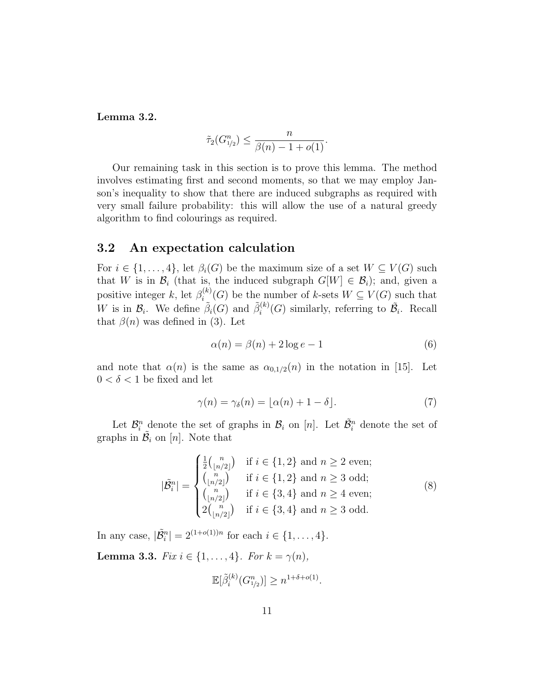Lemma 3.2.

$$
\tilde{\tau}_2(G_{1/2}^n) \le \frac{n}{\beta(n)-1+o(1)}.
$$

Our remaining task in this section is to prove this lemma. The method involves estimating first and second moments, so that we may employ Janson's inequality to show that there are induced subgraphs as required with very small failure probability: this will allow the use of a natural greedy algorithm to find colourings as required.

#### 3.2 An expectation calculation

For  $i \in \{1, \ldots, 4\}$ , let  $\beta_i(G)$  be the maximum size of a set  $W \subseteq V(G)$  such that W is in  $\mathcal{B}_i$  (that is, the induced subgraph  $G[W] \in \mathcal{B}_i$ ); and, given a positive integer k, let  $\beta_i^{(k)}$  $i^{(k)}(G)$  be the number of k-sets  $W \subseteq V(G)$  such that W is in  $\mathcal{B}_i$ . We define  $\tilde{\beta}_i(G)$  and  $\tilde{\beta}_i^{(k)}$  $i^{(k)}_i(G)$  similarly, referring to  $\tilde{\mathcal{B}_i}$ . Recall that  $\beta(n)$  was defined in (3). Let

$$
\alpha(n) = \beta(n) + 2\log e - 1\tag{6}
$$

and note that  $\alpha(n)$  is the same as  $\alpha_{0,1/2}(n)$  in the notation in [15]. Let  $0<\delta<1$  be fixed and let

$$
\gamma(n) = \gamma_{\delta}(n) = \lfloor \alpha(n) + 1 - \delta \rfloor. \tag{7}
$$

Let  $\mathcal{B}_i^n$  denote the set of graphs in  $\mathcal{B}_i$  on [n]. Let  $\tilde{\mathcal{B}}_i^n$  denote the set of graphs in  $\mathcal{B}_i$  on [n]. Note that

$$
|\tilde{\mathcal{B}}_{i}^{n}| = \begin{cases} \frac{1}{2} {n \choose \lfloor n/2 \rfloor} & \text{if } i \in \{1, 2\} \text{ and } n \ge 2 \text{ even}; \\ {n \choose \lfloor n/2 \rfloor} & \text{if } i \in \{1, 2\} \text{ and } n \ge 3 \text{ odd}; \\ {n \choose \lfloor n/2 \rfloor} & \text{if } i \in \{3, 4\} \text{ and } n \ge 4 \text{ even}; \\ 2 {n \choose \lfloor n/2 \rfloor} & \text{if } i \in \{3, 4\} \text{ and } n \ge 3 \text{ odd}. \end{cases}
$$
(8)

In any case,  $|\tilde{\mathcal{B}}_i^n| = 2^{(1+o(1))n}$  for each  $i \in \{1, ..., 4\}$ .

**Lemma 3.3.** Fix  $i \in \{1, ..., 4\}$ . For  $k = \gamma(n)$ ,

$$
\mathbb{E}[\tilde{\beta}_i^{(k)}(G_{1/2}^n)] \ge n^{1+\delta+o(1)}.
$$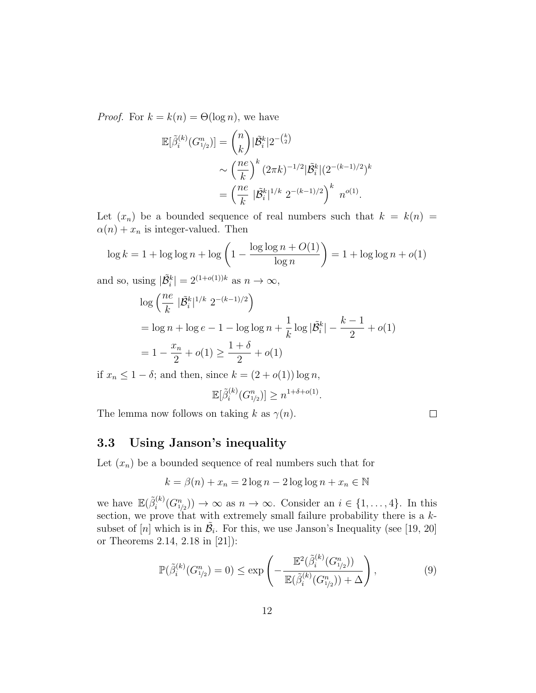*Proof.* For  $k = k(n) = \Theta(\log n)$ , we have

$$
\mathbb{E}[\tilde{\beta}_{i}^{(k)}(G_{1/2}^{n})] = {n \choose k} |\tilde{\mathcal{B}}_{i}^{k}| 2^{-{k \choose 2}}
$$

$$
\sim \left(\frac{ne}{k}\right)^{k} (2\pi k)^{-1/2} |\tilde{\mathcal{B}}_{i}^{k}| (2^{-(k-1)/2})^{k}
$$

$$
= \left(\frac{ne}{k} |\tilde{\mathcal{B}}_{i}^{k}|^{1/k} 2^{-(k-1)/2}\right)^{k} n^{o(1)}.
$$

Let  $(x_n)$  be a bounded sequence of real numbers such that  $k = k(n) =$  $\alpha(n) + x_n$  is integer-valued. Then

$$
\log k = 1 + \log \log n + \log \left( 1 - \frac{\log \log n + O(1)}{\log n} \right) = 1 + \log \log n + o(1)
$$

and so, using  $|\tilde{\mathcal{B}}_i^k| = 2^{(1+o(1))k}$  as  $n \to \infty$ ,

$$
\log \left( \frac{ne}{k} \, |\tilde{\mathcal{B}}_i^k|^{1/k} \, 2^{-(k-1)/2} \right)
$$
  
=  $\log n + \log e - 1 - \log \log n + \frac{1}{k} \log |\tilde{\mathcal{B}}_i^k| - \frac{k-1}{2} + o(1)$   
=  $1 - \frac{x_n}{2} + o(1) \ge \frac{1+\delta}{2} + o(1)$ 

if  $x_n \leq 1 - \delta$ ; and then, since  $k = (2 + o(1)) \log n$ ,

$$
\mathbb{E}[\tilde{\beta}_i^{(k)}(G_{1/2}^n)] \ge n^{1+\delta+o(1)}
$$

.

The lemma now follows on taking k as  $\gamma(n)$ .

$$
\Box
$$

### 3.3 Using Janson's inequality

Let  $(x_n)$  be a bounded sequence of real numbers such that for

$$
k = \beta(n) + x_n = 2\log n - 2\log\log n + x_n \in \mathbb{N}
$$

we have  $\mathbb{E}(\tilde{\beta}_i^{(k)})$  $i^{(k)}(G_{1/2}^n) \to \infty$  as  $n \to \infty$ . Consider an  $i \in \{1, \ldots, 4\}$ . In this section, we prove that with extremely small failure probability there is a ksubset of  $[n]$  which is in  $\tilde{\mathcal{B}}_i$ . For this, we use Janson's Inequality (see [19, 20] or Theorems 2.14, 2.18 in [21]):

$$
\mathbb{P}(\tilde{\beta}_{i}^{(k)}(G_{1/2}^{n})=0) \leq \exp\left(-\frac{\mathbb{E}^{2}(\tilde{\beta}_{i}^{(k)}(G_{1/2}^{n}))}{\mathbb{E}(\tilde{\beta}_{i}^{(k)}(G_{1/2}^{n})) + \Delta}\right),
$$
\n(9)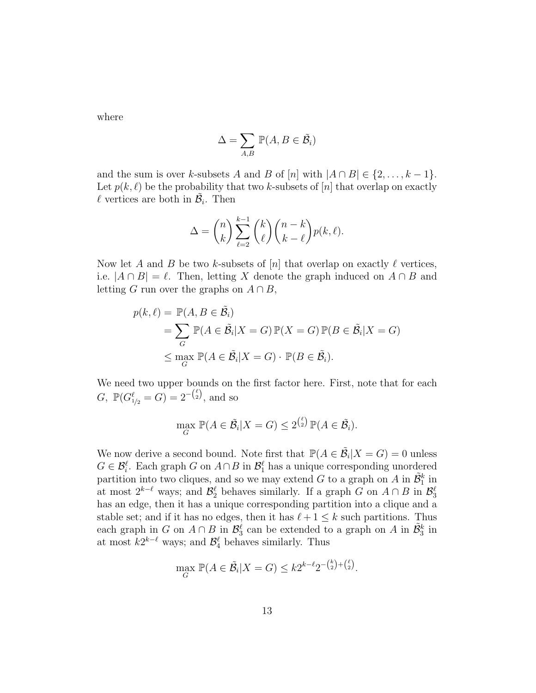where

$$
\Delta = \sum_{A,B} \mathbb{P}(A, B \in \tilde{\mathcal{B}_i})
$$

and the sum is over k-subsets A and B of  $[n]$  with  $|A \cap B| \in \{2, ..., k-1\}$ . Let  $p(k, \ell)$  be the probability that two k-subsets of [n] that overlap on exactly  $\ell$  vertices are both in  $\tilde{\mathcal{B}}_i$ . Then

$$
\Delta = {n \choose k} \sum_{\ell=2}^{k-1} {k \choose \ell} {n-k \choose k-\ell} p(k,\ell).
$$

Now let A and B be two k-subsets of  $[n]$  that overlap on exactly  $\ell$  vertices, i.e.  $|A \cap B| = \ell$ . Then, letting X denote the graph induced on  $A \cap B$  and letting G run over the graphs on  $A \cap B$ ,

$$
p(k, \ell) = \mathbb{P}(A, B \in \tilde{\mathcal{B}}_i)
$$
  
=  $\sum_G \mathbb{P}(A \in \tilde{\mathcal{B}}_i | X = G) \mathbb{P}(X = G) \mathbb{P}(B \in \tilde{\mathcal{B}}_i | X = G)$   
 $\leq \max_G \mathbb{P}(A \in \tilde{\mathcal{B}}_i | X = G) \cdot \mathbb{P}(B \in \tilde{\mathcal{B}}_i).$ 

We need two upper bounds on the first factor here. First, note that for each  $G, \ \mathbb{P}(G_{1/2}^{\ell} = G) = 2^{-\binom{\ell}{2}}, \text{ and so}$ 

$$
\max_{G} \mathbb{P}(A \in \tilde{\mathcal{B}}_i | X = G) \le 2^{\binom{\ell}{2}} \mathbb{P}(A \in \tilde{\mathcal{B}}_i).
$$

We now derive a second bound. Note first that  $\mathbb{P}(A \in \tilde{\mathcal{B}}_i | X = G) = 0$  unless  $G \in \mathcal{B}_i^{\ell}$ . Each graph G on  $A \cap B$  in  $\mathcal{B}_1^{\ell}$  has a unique corresponding unordered partition into two cliques, and so we may extend G to a graph on A in  $\tilde{\mathcal{B}}_1^k$  in at most  $2^{k-\ell}$  ways; and  $\mathcal{B}_2^{\ell}$  behaves similarly. If a graph G on  $A \cap B$  in  $\mathcal{B}_3^{\ell}$ has an edge, then it has a unique corresponding partition into a clique and a stable set; and if it has no edges, then it has  $\ell + 1 \leq k$  such partitions. Thus each graph in G on  $A \cap B$  in  $\mathcal{B}_3^{\ell}$  can be extended to a graph on A in  $\tilde{\mathcal{B}}_3^k$  in at most  $k2^{k-\ell}$  ways; and  $\mathcal{B}_4^{\ell}$  behaves similarly. Thus

$$
\max_{G} \mathbb{P}(A \in \tilde{\mathcal{B}}_i | X = G) \leq k 2^{k-\ell} 2^{-\binom{k}{2} + \binom{\ell}{2}}.
$$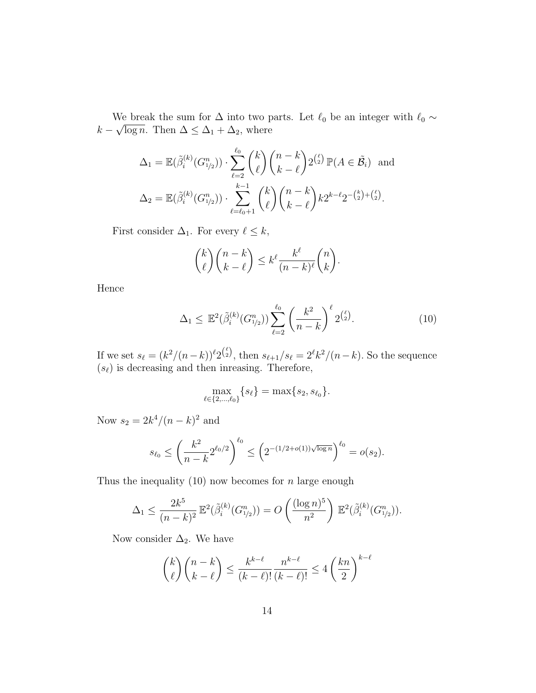We break the sum for  $\Delta$  into two parts. Let  $\ell_0$  be an integer with  $\ell_0 \sim$  $k - \sqrt{\log n}$ . Then  $\Delta \leq \Delta_1 + \Delta_2$ , where

$$
\Delta_1 = \mathbb{E}(\tilde{\beta}_i^{(k)}(G_{1/2}^n)) \cdot \sum_{\ell=2}^{\ell_0} \binom{k}{\ell} \binom{n-k}{k-\ell} 2^{\binom{\ell}{2}} \mathbb{P}(A \in \tilde{\mathcal{B}}_i) \text{ and}
$$

$$
\Delta_2 = \mathbb{E}(\tilde{\beta}_i^{(k)}(G_{1/2}^n)) \cdot \sum_{\ell=\ell_0+1}^{k-1} \binom{k}{\ell} \binom{n-k}{k-\ell} k 2^{k-\ell} 2^{-\binom{k}{2} + \binom{\ell}{2}}.
$$

First consider  $\Delta_1$ . For every  $\ell \leq k$ ,

$$
\binom{k}{\ell}\binom{n-k}{k-\ell} \le k^{\ell} \frac{k^{\ell}}{(n-k)^{\ell}}\binom{n}{k}.
$$

Hence

$$
\Delta_1 \le \mathbb{E}^2(\tilde{\beta}_i^{(k)}(G_{1/2}^n)) \sum_{\ell=2}^{\ell_0} \left(\frac{k^2}{n-k}\right)^{\ell} 2^{\binom{\ell}{2}}.\tag{10}
$$

If we set  $s_\ell = (k^2/(n-k))^{\ell} 2^{\binom{\ell}{2}}$ , then  $s_{\ell+1}/s_{\ell} = 2^{\ell} k^2/(n-k)$ . So the sequence  $(s_\ell)$  is decreasing and then inreasing. Therefore,

$$
\max_{\ell \in \{2,\ldots,\ell_0\}} \{s_\ell\} = \max\{s_2,s_{\ell_0}\}.
$$

Now  $s_2 = 2k^4/(n-k)^2$  and

$$
s_{\ell_0} \le \left(\frac{k^2}{n-k} 2^{\ell_0/2}\right)^{\ell_0} \le \left(2^{-(1/2+o(1))\sqrt{\log n}}\right)^{\ell_0} = o(s_2).
$$

Thus the inequality  $(10)$  now becomes for n large enough

$$
\Delta_1 \leq \frac{2k^5}{(n-k)^2} \mathbb{E}^2(\tilde{\beta}_i^{(k)}(G_{1/2}^n)) = O\left(\frac{(\log n)^5}{n^2}\right) \mathbb{E}^2(\tilde{\beta}_i^{(k)}(G_{1/2}^n)).
$$

Now consider  $\Delta_2$ . We have

$$
\binom{k}{\ell}\binom{n-k}{k-\ell} \le \frac{k^{k-\ell}}{(k-\ell)!} \frac{n^{k-\ell}}{(k-\ell)!} \le 4\left(\frac{kn}{2}\right)^{k-\ell}
$$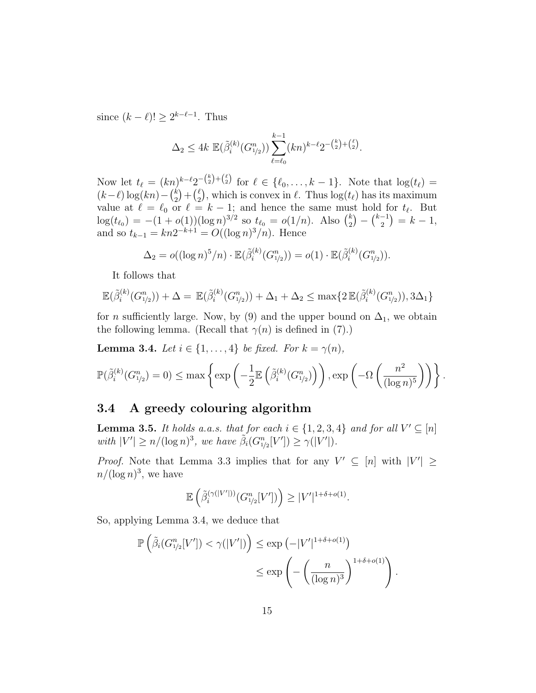since  $(k - \ell)! \geq 2^{k-\ell-1}$ . Thus

$$
\Delta_2 \le 4k \mathbb{E}(\tilde{\beta}_i^{(k)}(G_{1/2}^n)) \sum_{\ell=\ell_0}^{k-1} (kn)^{k-\ell} 2^{-\binom{k}{2} + \binom{\ell}{2}}.
$$

Now let  $t_{\ell} = (kn)^{k-\ell} 2^{-\binom{k}{2}+\binom{\ell}{2}}$  for  $\ell \in {\ell_0, \ldots, k-1}$ . Note that  $\log(t_{\ell}) =$  $(k-\ell)\log(kn)-\binom{k}{2}$  $\binom{k}{2} + \binom{\ell}{2}$  $\binom{\ell}{2}$ , which is convex in  $\ell$ . Thus  $\log(t_\ell)$  has its maximum value at  $\ell = \ell_0$  or  $\ell = k - 1$ ; and hence the same must hold for  $t_{\ell}$ . But  $\log(t_{\ell_0}) = -(1 + o(1))(\log n)^{3/2}$  so  $t_{\ell_0} = o(1/n)$ . Also  $\binom{k}{2}$  $\binom{k}{2} - \binom{k-1}{2}$  $\binom{-1}{2} = k - 1,$ and so  $t_{k-1} = kn2^{-k+1} = O((\log n)^3/n)$ . Hence

$$
\Delta_2 = o((\log n)^5/n) \cdot \mathbb{E}(\tilde{\beta}_i^{(k)}(G_{1/2}^n)) = o(1) \cdot \mathbb{E}(\tilde{\beta}_i^{(k)}(G_{1/2}^n)).
$$

It follows that

$$
\mathbb{E}(\tilde{\beta}_i^{(k)}(G_{1/2}^n)) + \Delta = \mathbb{E}(\tilde{\beta}_i^{(k)}(G_{1/2}^n)) + \Delta_1 + \Delta_2 \le \max\{2\mathbb{E}(\tilde{\beta}_i^{(k)}(G_{1/2}^n)), 3\Delta_1\}
$$

for *n* sufficiently large. Now, by (9) and the upper bound on  $\Delta_1$ , we obtain the following lemma. (Recall that  $\gamma(n)$  is defined in (7).)

**Lemma 3.4.** Let  $i \in \{1, \ldots, 4\}$  be fixed. For  $k = \gamma(n)$ ,

$$
\mathbb{P}(\tilde{\beta}_i^{(k)}(G_{1/2}^n) = 0) \le \max \left\{ \exp \left( -\frac{1}{2} \mathbb{E} \left( \tilde{\beta}_i^{(k)}(G_{1/2}^n) \right) \right), \exp \left( -\Omega \left( \frac{n^2}{(\log n)^5} \right) \right) \right\}.
$$

#### 3.4 A greedy colouring algorithm

**Lemma 3.5.** It holds a.a.s. that for each  $i \in \{1, 2, 3, 4\}$  and for all  $V' \subseteq [n]$ with  $|V'| \ge n/(\log n)^3$ , we have  $\widetilde{\beta}_i(G_{1/2}^n[V']) \ge \gamma(|V'|)$ .

*Proof.* Note that Lemma 3.3 implies that for any  $V' \subseteq [n]$  with  $|V'| \ge$  $n/(\log n)^3$ , we have

$$
\mathbb{E}\left(\tilde{\beta}_i^{(\gamma(|V'|))}(G^n_{1/2}[V'])\right) \geq |V'|^{1+\delta+o(1)}.
$$

So, applying Lemma 3.4, we deduce that

$$
\mathbb{P}\left(\tilde{\beta}_{i}(G_{1/2}^{n}[V']) < \gamma(|V'|)\right) \le \exp\left(-|V'|^{1+\delta+o(1)}\right) \le \exp\left(-\left(\frac{n}{(\log n)^{3}}\right)^{1+\delta+o(1)}\right).
$$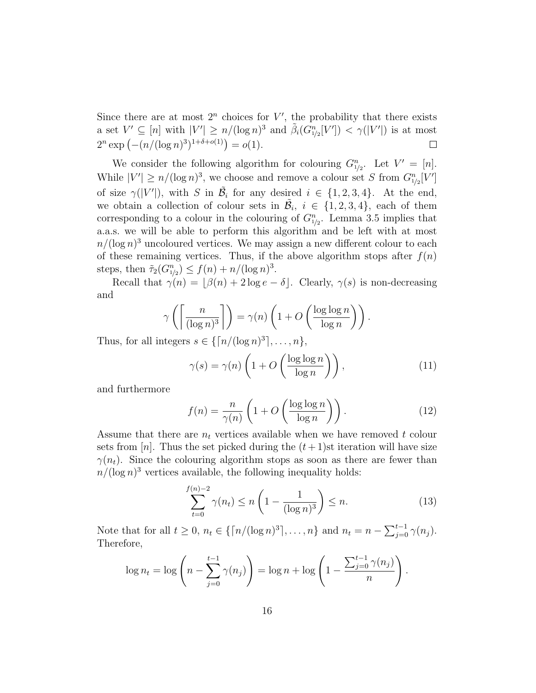Since there are at most  $2^n$  choices for  $V'$ , the probability that there exists a set  $V' \subseteq [n]$  with  $|V'| \ge n/(\log n)^3$  and  $\tilde{\beta}_i(G_{1/2}^n[V']) < \gamma(|V'|)$  is at most  $2^n \exp(-(n/(\log n)^3)^{1+\delta+o(1)}) = o(1).$  $\Box$ 

We consider the following algorithm for colouring  $G_{1/2}^n$ . Let  $V' = [n]$ . While  $|V'| \ge n/(\log n)^3$ , we choose and remove a colour set S from  $G_{1/2}^n[V']$ of size  $\gamma(|V'|)$ , with S in  $\tilde{\mathcal{B}}_i$  for any desired  $i \in \{1, 2, 3, 4\}$ . At the end, we obtain a collection of colour sets in  $\tilde{\mathcal{B}}_i$ ,  $i \in \{1, 2, 3, 4\}$ , each of them corresponding to a colour in the colouring of  $G_{1/2}^n$ . Lemma 3.5 implies that a.a.s. we will be able to perform this algorithm and be left with at most  $n/(\log n)^3$  uncoloured vertices. We may assign a new different colour to each of these remaining vertices. Thus, if the above algorithm stops after  $f(n)$ steps, then  $\tilde{\tau}_2(G_{1/2}^n) \le f(n) + n/(\log n)^3$ .

Recall that  $\gamma(n) = |\beta(n) + 2 \log e - \delta|$ . Clearly,  $\gamma(s)$  is non-decreasing and

$$
\gamma\left(\left\lceil\frac{n}{(\log n)^3}\right\rceil\right) = \gamma(n)\left(1 + O\left(\frac{\log\log n}{\log n}\right)\right).
$$

Thus, for all integers  $s \in \{\lceil n/(\log n)^3 \rceil, \ldots, n\},\$ 

$$
\gamma(s) = \gamma(n) \left( 1 + O\left(\frac{\log \log n}{\log n}\right) \right),\tag{11}
$$

and furthermore

$$
f(n) = \frac{n}{\gamma(n)} \left( 1 + O\left(\frac{\log \log n}{\log n}\right) \right). \tag{12}
$$

Assume that there are  $n_t$  vertices available when we have removed t colour sets from [n]. Thus the set picked during the  $(t+1)$ st iteration will have size  $\gamma(n_t)$ . Since the colouring algorithm stops as soon as there are fewer than  $n/(\log n)^3$  vertices available, the following inequality holds:

$$
\sum_{t=0}^{f(n)-2} \gamma(n_t) \le n \left( 1 - \frac{1}{(\log n)^3} \right) \le n.
$$
 (13)

Note that for all  $t \ge 0$ ,  $n_t \in \{ \lceil n/(\log n)^3 \rceil, \ldots, n \}$  and  $n_t = n - \sum_{j=0}^{t-1} \gamma(n_j)$ . Therefore,

$$
\log n_t = \log \left( n - \sum_{j=0}^{t-1} \gamma(n_j) \right) = \log n + \log \left( 1 - \frac{\sum_{j=0}^{t-1} \gamma(n_j)}{n} \right).
$$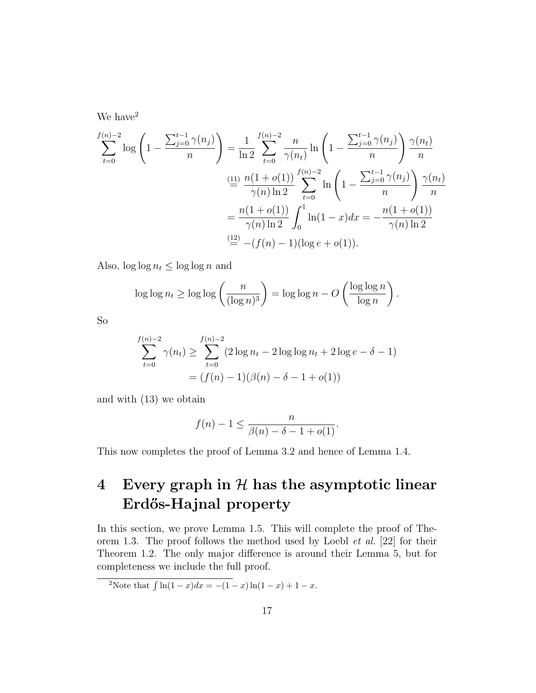We have  $2$ 

$$
\sum_{t=0}^{f(n)-2} \log \left( 1 - \frac{\sum_{j=0}^{t-1} \gamma(n_j)}{n} \right) = \frac{1}{\ln 2} \sum_{t=0}^{f(n)-2} \frac{n}{\gamma(n_t)} \ln \left( 1 - \frac{\sum_{j=0}^{t-1} \gamma(n_j)}{n} \right) \frac{\gamma(n_t)}{n}
$$

$$
\stackrel{\text{(11)}{=}}{=} \frac{n(1+o(1))}{\gamma(n)\ln 2} \sum_{t=0}^{f(n)-2} \ln \left( 1 - \frac{\sum_{j=0}^{t-1} \gamma(n_j)}{n} \right) \frac{\gamma(n_t)}{n}
$$

$$
= \frac{n(1+o(1))}{\gamma(n)\ln 2} \int_0^1 \ln(1-x) dx = -\frac{n(1+o(1))}{\gamma(n)\ln 2}
$$

$$
\stackrel{\text{(12)}}{=} -(f(n)-1)(\log e + o(1)).
$$

Also,  $\log \log n_t \leq \log \log n$  and

$$
\log \log n_t \ge \log \log \left(\frac{n}{(\log n)^3}\right) = \log \log n - O\left(\frac{\log \log n}{\log n}\right).
$$

So

$$
\sum_{t=0}^{f(n)-2} \gamma(n_t) \ge \sum_{t=0}^{f(n)-2} (2\log n_t - 2\log \log n_t + 2\log e - \delta - 1)
$$

$$
= (f(n) - 1)(\beta(n) - \delta - 1 + o(1))
$$

and with (13) we obtain

$$
f(n) - 1 \leq \frac{n}{\beta(n) - \delta - 1 + o(1)}
$$
.

This now completes the proof of Lemma 3.2 and hence of Lemma 1.4.

# 4 Every graph in  $H$  has the asymptotic linear Erdős-Hajnal property

In this section, we prove Lemma 1.5. This will complete the proof of Theorem 1.3. The proof follows the method used by Loebl et al. [22] for their Theorem 1.2. The only major difference is around their Lemma 5, but for completeness we include the full proof.

2Note that  $\int \ln(1 - x) dx = -(1 - x) \ln(1 - x) + 1 - x$ .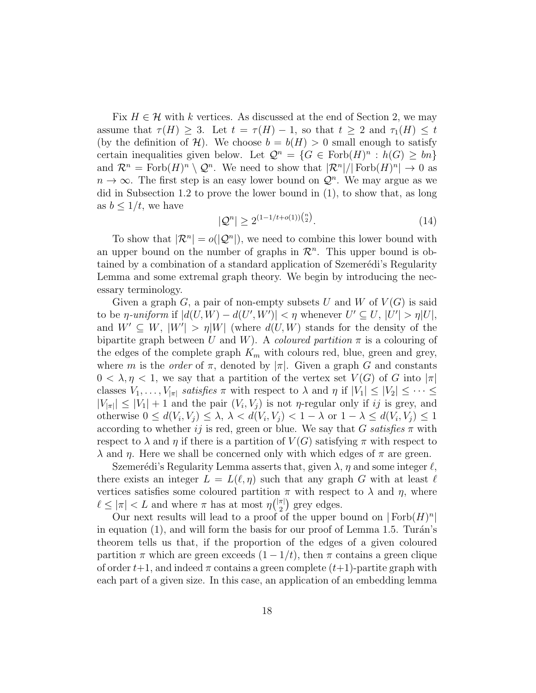Fix  $H \in \mathcal{H}$  with k vertices. As discussed at the end of Section 2, we may assume that  $\tau(H) \geq 3$ . Let  $t = \tau(H) - 1$ , so that  $t \geq 2$  and  $\tau_1(H) \leq t$ (by the definition of H). We choose  $b = b(H) > 0$  small enough to satisfy certain inequalities given below. Let  $\mathcal{Q}^n = \{G \in \text{Forb}(H)^n : h(G) \geq bn\}$ and  $\mathcal{R}^n = \text{Forb}(H)^n \setminus \mathcal{Q}^n$ . We need to show that  $|\mathcal{R}^n|/|\text{Forb}(H)^n| \to 0$  as  $n \to \infty$ . The first step is an easy lower bound on  $\mathcal{Q}^n$ . We may argue as we did in Subsection 1.2 to prove the lower bound in (1), to show that, as long as  $b \leq 1/t$ , we have

$$
|\mathcal{Q}^n| \ge 2^{(1-1/t + o(1))\binom{n}{2}}.\tag{14}
$$

To show that  $|\mathcal{R}^n| = o(|\mathcal{Q}^n|)$ , we need to combine this lower bound with an upper bound on the number of graphs in  $\mathcal{R}^n$ . This upper bound is obtained by a combination of a standard application of Szemerédi's Regularity Lemma and some extremal graph theory. We begin by introducing the necessary terminology.

Given a graph G, a pair of non-empty subsets U and W of  $V(G)$  is said to be  $\eta$ -uniform if  $|d(U, W) - d(U', W')| < \eta$  whenever  $U' \subseteq U, |U'| > \eta |U|$ , and  $W' \subseteq W$ ,  $|W'| > \eta |W|$  (where  $d(U, W)$  stands for the density of the bipartite graph between U and W). A coloured partition  $\pi$  is a colouring of the edges of the complete graph  $K_m$  with colours red, blue, green and grey, where m is the *order* of  $\pi$ , denoted by  $|\pi|$ . Given a graph G and constants  $0 < \lambda, \eta < 1$ , we say that a partition of the vertex set  $V(G)$  of G into  $|\pi|$ classes  $V_1, \ldots, V_{|\pi|}$  satisfies  $\pi$  with respect to  $\lambda$  and  $\eta$  if  $|V_1| \leq |V_2| \leq \cdots \leq$  $|V_{|\pi|}|\leq |V_1|+1$  and the pair  $(V_i, V_j)$  is not *η*-regular only if ij is grey, and otherwise  $0 \leq d(V_i, V_j) \leq \lambda, \lambda < d(V_i, V_j) < 1 - \lambda$  or  $1 - \lambda \leq d(V_i, V_j) \leq 1$ according to whether ij is red, green or blue. We say that G satisfies  $\pi$  with respect to  $\lambda$  and  $\eta$  if there is a partition of  $V(G)$  satisfying  $\pi$  with respect to  $λ$  and  $η$ . Here we shall be concerned only with which edges of  $π$  are green.

Szemerédi's Regularity Lemma asserts that, given  $\lambda$ ,  $\eta$  and some integer  $\ell$ , there exists an integer  $L = L(\ell, \eta)$  such that any graph G with at least  $\ell$ vertices satisfies some coloured partition  $\pi$  with respect to  $\lambda$  and  $\eta$ , where  $\ell \leq |\pi| < L$  and where  $\pi$  has at most  $\eta\binom{|\pi|}{2}$  $\binom{\pi}{2}$  grey edges.

Our next results will lead to a proof of the upper bound on  $|Forb(H)|^n$ in equation  $(1)$ , and will form the basis for our proof of Lemma 1.5. Turán's theorem tells us that, if the proportion of the edges of a given coloured partition  $\pi$  which are green exceeds  $(1 - 1/t)$ , then  $\pi$  contains a green clique of order  $t+1$ , and indeed  $\pi$  contains a green complete  $(t+1)$ -partite graph with each part of a given size. In this case, an application of an embedding lemma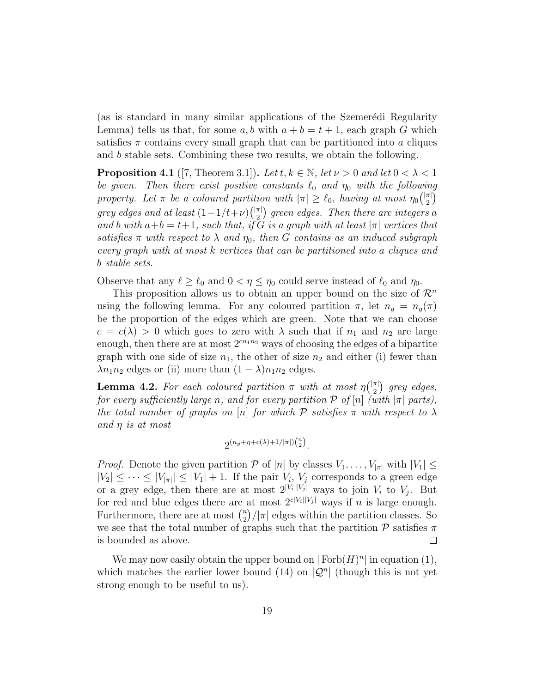(as is standard in many similar applications of the Szemerédi Regularity Lemma) tells us that, for some a, b with  $a + b = t + 1$ , each graph G which satisfies  $\pi$  contains every small graph that can be partitioned into a cliques and b stable sets. Combining these two results, we obtain the following.

**Proposition 4.1** ([7, Theorem 3.1]). Let  $t, k \in \mathbb{N}$ , let  $\nu > 0$  and let  $0 < \lambda < 1$ be given. Then there exist positive constants  $\ell_0$  and  $\eta_0$  with the following property. Let  $\pi$  be a coloured partition with  $|\pi| \geq \ell_0$ , having at most  $\eta_0\binom{|\pi|}{2}$  $\binom{\pi}{2}$ grey edges and at least  $(1-1/t+\nu)\binom{|\pi|}{2}$  $\binom{\pi}{2}$  green edges. Then there are integers a and b with  $a+b = t+1$ , such that, if G is a graph with at least  $|\pi|$  vertices that satisfies  $\pi$  with respect to  $\lambda$  and  $\eta_0$ , then G contains as an induced subgraph every graph with at most k vertices that can be partitioned into a cliques and b stable sets.

Observe that any  $\ell \ge \ell_0$  and  $0 < \eta \le \eta_0$  could serve instead of  $\ell_0$  and  $\eta_0$ .

This proposition allows us to obtain an upper bound on the size of  $\mathcal{R}^n$ using the following lemma. For any coloured partition  $\pi$ , let  $n_q = n_q(\pi)$ be the proportion of the edges which are green. Note that we can choose  $c = c(\lambda) > 0$  which goes to zero with  $\lambda$  such that if  $n_1$  and  $n_2$  are large enough, then there are at most  $2^{cn_1n_2}$  ways of choosing the edges of a bipartite graph with one side of size  $n_1$ , the other of size  $n_2$  and either (i) fewer than  $\lambda n_1 n_2$  edges or (ii) more than  $(1 - \lambda) n_1 n_2$  edges.

**Lemma 4.2.** For each coloured partition  $\pi$  with at most  $\eta(\frac{|\pi|}{2})$  $\binom{\pi}{2}$  grey edges, for every sufficiently large n, and for every partition  $P$  of  $[n]$  (with  $|\pi|$  parts), the total number of graphs on [n] for which  $\mathcal P$  satisfies  $\pi$  with respect to  $\lambda$ and  $\eta$  is at most

$$
2^{(n_g+\eta+c(\lambda)+1/|\pi|){n\choose 2}}.
$$

*Proof.* Denote the given partition P of [n] by classes  $V_1, \ldots, V_{|\pi|}$  with  $|V_1| \leq$  $|V_2| \leq \cdots \leq |V_{|\pi|}|\leq |V_1|+1$ . If the pair  $V_i$ ,  $V_j$  corresponds to a green edge or a grey edge, then there are at most  $2^{|V_i||V_j|}$  ways to join  $V_i$  to  $V_j$ . But for red and blue edges there are at most  $2^{c|V_i||V_j|}$  ways if n is large enough. Furthermore, there are at most  $\binom{n}{2}$  $\binom{n}{2}/|\pi|$  edges within the partition classes. So we see that the total number of graphs such that the partition  $\mathcal P$  satisfies  $\pi$ is bounded as above.  $\Box$ 

We may now easily obtain the upper bound on  $|Forb(H)^n|$  in equation (1), which matches the earlier lower bound (14) on  $|Q^n|$  (though this is not yet strong enough to be useful to us).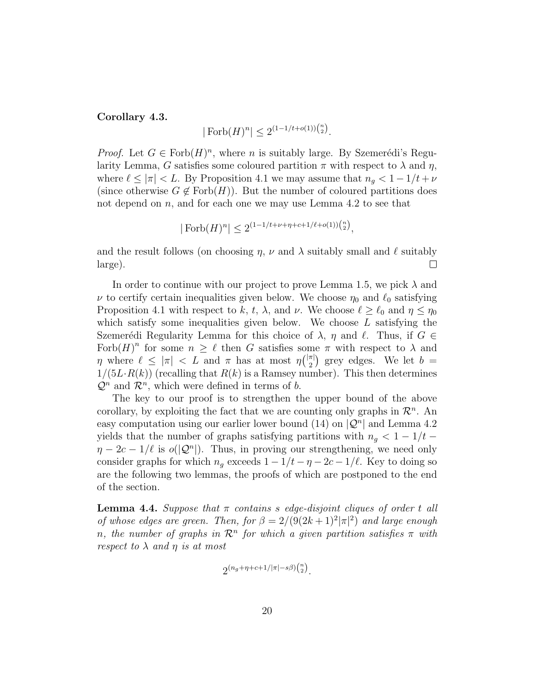#### Corollary 4.3.

$$
|\operatorname{Forb}(H)^n| \le 2^{(1-1/t + o(1))\binom{n}{2}}.
$$

*Proof.* Let  $G \in \text{Forb}(H)^n$ , where *n* is suitably large. By Szemerédi's Regularity Lemma, G satisfies some coloured partition  $\pi$  with respect to  $\lambda$  and  $\eta$ , where  $\ell \le |\pi| < L$ . By Proposition 4.1 we may assume that  $n_g < 1 - 1/t + \nu$ (since otherwise  $G \notin \text{Forb}(H)$ ). But the number of coloured partitions does not depend on  $n$ , and for each one we may use Lemma 4.2 to see that

$$
|\operatorname{Forb}(H)^n| \le 2^{(1-1/t+\nu+\eta+c+1/\ell+o(1))\binom{n}{2}},
$$

and the result follows (on choosing  $\eta$ ,  $\nu$  and  $\lambda$  suitably small and  $\ell$  suitably large).  $\Box$ 

In order to continue with our project to prove Lemma 1.5, we pick  $\lambda$  and  $\nu$  to certify certain inequalities given below. We choose  $\eta_0$  and  $\ell_0$  satisfying Proposition 4.1 with respect to k, t,  $\lambda$ , and  $\nu$ . We choose  $\ell \geq \ell_0$  and  $\eta \leq \eta_0$ which satisfy some inequalities given below. We choose  $L$  satisfying the Szemerédi Regularity Lemma for this choice of  $\lambda$ ,  $\eta$  and  $\ell$ . Thus, if  $G \in$ Forb $(H)^n$  for some  $n \geq \ell$  then G satisfies some  $\pi$  with respect to  $\lambda$  and  $\eta$  where  $\ell \leq |\pi| < L$  and  $\pi$  has at most  $\eta\binom{|\pi|}{2}$  $2^{\pi}$ ) grey edges. We let  $b =$  $1/(5L \cdot R(k))$  (recalling that  $R(k)$  is a Ramsey number). This then determines  $\mathcal{Q}^n$  and  $\mathcal{R}^n$ , which were defined in terms of b.

The key to our proof is to strengthen the upper bound of the above corollary, by exploiting the fact that we are counting only graphs in  $\mathcal{R}^n$ . An easy computation using our earlier lower bound (14) on  $|Q^n|$  and Lemma 4.2 yields that the number of graphs satisfying partitions with  $n_g < 1 - 1/t$  $\eta - 2c - 1/\ell$  is  $o(|\mathcal{Q}^n|)$ . Thus, in proving our strengthening, we need only consider graphs for which  $n_q$  exceeds  $1 - 1/t - \eta - 2c - 1/\ell$ . Key to doing so are the following two lemmas, the proofs of which are postponed to the end of the section.

**Lemma 4.4.** Suppose that  $\pi$  contains s edge-disjoint cliques of order t all of whose edges are green. Then, for  $\beta = 2/(9(2k+1)^2|\pi|^2)$  and large enough n, the number of graphs in  $\mathcal{R}^n$  for which a given partition satisfies  $\pi$  with respect to  $\lambda$  and  $\eta$  is at most

$$
2^{(n_g+\eta+c+1/|\pi|-s\beta)\binom{n}{2}}.
$$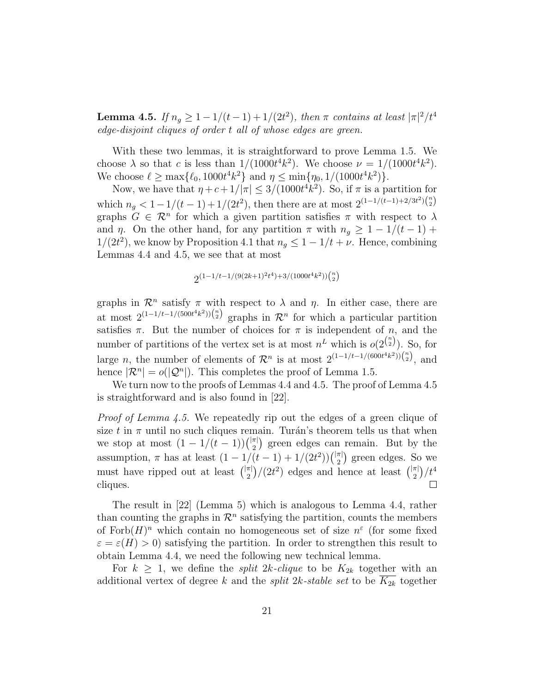**Lemma 4.5.** If  $n_g \geq 1 - 1/(t-1) + 1/(2t^2)$ , then  $\pi$  contains at least  $|\pi|^2/t^4$ edge-disjoint cliques of order t all of whose edges are green.

With these two lemmas, it is straightforward to prove Lemma 1.5. We choose  $\lambda$  so that c is less than  $1/(1000t^4k^2)$ . We choose  $\nu = 1/(1000t^4k^2)$ . We choose  $\ell \ge \max\{\ell_0, 1000t^4k^2\}$  and  $\eta \le \min\{\eta_0, 1/(1000t^4k^2)\}.$ 

Now, we have that  $\eta + c + 1/|\pi| \leq 3/(1000t^4 k^2)$ . So, if  $\pi$  is a partition for which  $n_g < 1 - 1/(t-1) + 1/(2t^2)$ , then there are at most  $2^{(1-1/(t-1)+2/3t^2)\binom{n}{2}}$ graphs  $G \in \mathbb{R}^n$  for which a given partition satisfies  $\pi$  with respect to  $\lambda$ and  $\eta$ . On the other hand, for any partition  $\pi$  with  $n_g \geq 1 - 1/(t - 1) +$  $1/(2t^2)$ , we know by Proposition 4.1 that  $n_g \leq 1 - 1/t + \nu$ . Hence, combining Lemmas 4.4 and 4.5, we see that at most

$$
2^{(1-1/t-1/(9(2k+1)^2t^4)+3/(1000t^4k^2))\binom{n}{2}}
$$

graphs in  $\mathcal{R}^n$  satisfy  $\pi$  with respect to  $\lambda$  and  $\eta$ . In either case, there are at most  $2^{(1-1/t-1/(500t^4k^2))\binom{n}{2}}$  graphs in  $\mathcal{R}^n$  for which a particular partition satisfies  $\pi$ . But the number of choices for  $\pi$  is independent of n, and the number of partitions of the vertex set is at most  $n^L$  which is  $o(2^{\binom{n}{2}})$ . So, for large *n*, the number of elements of  $\mathcal{R}^n$  is at most  $2^{(1-1/t-1/(600t^4k^2))\binom{n}{2}}$ , and hence  $|\mathcal{R}^n| = o(|\mathcal{Q}^n|)$ . This completes the proof of Lemma 1.5.

We turn now to the proofs of Lemmas 4.4 and 4.5. The proof of Lemma 4.5 is straightforward and is also found in [22].

Proof of Lemma 4.5. We repeatedly rip out the edges of a green clique of size t in  $\pi$  until no such cliques remain. Turán's theorem tells us that when we stop at most  $(1 - 1/(t - 1))\binom{|\pi|}{2}$  $\binom{\pi}{2}$  green edges can remain. But by the assumption,  $\pi$  has at least  $(1 - 1/(t-1) + 1/(2t^2))\binom{|\pi|}{2}$  $\binom{\pi}{2}$  green edges. So we must have ripped out at least  $\binom{|\pi|}{2}$  $\binom{\pi}{2}$  /(2t<sup>2</sup>) edges and hence at least  $\binom{|\pi|}{2}$  $\binom{\pi}{2}/t^4$ cliques.  $\Box$ 

The result in [22] (Lemma 5) which is analogous to Lemma 4.4, rather than counting the graphs in  $\mathcal{R}^n$  satisfying the partition, counts the members of  $\text{Forb}(H)^n$  which contain no homogeneous set of size  $n^{\varepsilon}$  (for some fixed  $\varepsilon = \varepsilon(H) > 0$ ) satisfying the partition. In order to strengthen this result to obtain Lemma 4.4, we need the following new technical lemma.

For  $k \geq 1$ , we define the *split 2k-clique* to be  $K_{2k}$  together with an additional vertex of degree k and the *split 2k-stable set* to be  $K_{2k}$  together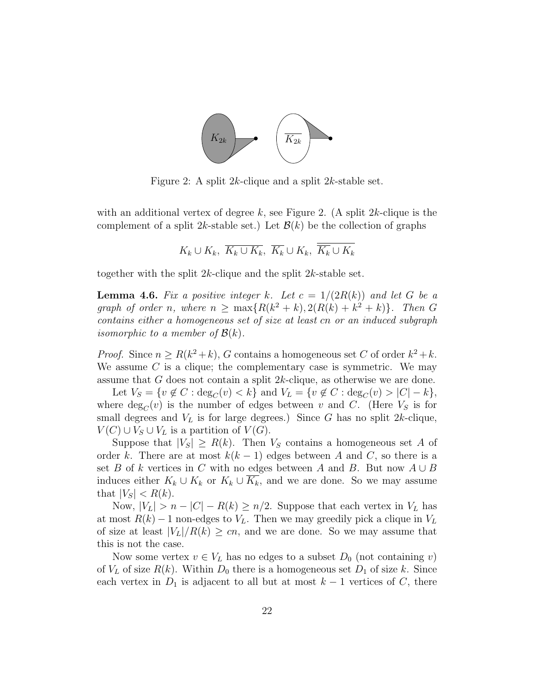

Figure 2: A split 2k-clique and a split 2k-stable set.

with an additional vertex of degree k, see Figure 2. (A split  $2k$ -clique is the complement of a split 2k-stable set.) Let  $\mathcal{B}(k)$  be the collection of graphs

$$
K_k \cup K_k, \overline{K_k \cup K_k}, \overline{K_k} \cup K_k, \overline{K_k} \cup \overline{K_k}
$$

together with the split 2k-clique and the split 2k-stable set.

**Lemma 4.6.** Fix a positive integer k. Let  $c = 1/(2R(k))$  and let G be a graph of order n, where  $n \ge \max\{R(k^2 + k), 2(R(k) + k^2 + k)\}\$ . Then G contains either a homogeneous set of size at least cn or an induced subgraph *isomorphic to a member of*  $\mathcal{B}(k)$ .

*Proof.* Since  $n \ge R(k^2 + k)$ , G contains a homogeneous set C of order  $k^2 + k$ . We assume  $C$  is a clique; the complementary case is symmetric. We may assume that G does not contain a split 2k-clique, as otherwise we are done.

Let  $V_S = \{v \notin C : \deg_C(v) < k\}$  and  $V_L = \{v \notin C : \deg_C(v) > |C| - k\},\$ where  $\deg_C(v)$  is the number of edges between v and C. (Here  $V_s$  is for small degrees and  $V<sub>L</sub>$  is for large degrees.) Since G has no split 2k-clique,  $V(C) \cup V_S \cup V_L$  is a partition of  $V(G)$ .

Suppose that  $|V_S| \ge R(k)$ . Then  $V_S$  contains a homogeneous set A of order k. There are at most  $k(k-1)$  edges between A and C, so there is a set B of k vertices in C with no edges between A and B. But now  $A \cup B$ induces either  $K_k \cup K_k$  or  $K_k \cup K_k$ , and we are done. So we may assume that  $|V_S| < R(k)$ .

Now,  $|V_L| > n - |C| - R(k) \ge n/2$ . Suppose that each vertex in  $V_L$  has at most  $R(k) - 1$  non-edges to  $V_L$ . Then we may greedily pick a clique in  $V_L$ of size at least  $|V_L|/R(k) \ge cn$ , and we are done. So we may assume that this is not the case.

Now some vertex  $v \in V_L$  has no edges to a subset  $D_0$  (not containing v) of  $V_L$  of size  $R(k)$ . Within  $D_0$  there is a homogeneous set  $D_1$  of size k. Since each vertex in  $D_1$  is adjacent to all but at most  $k-1$  vertices of C, there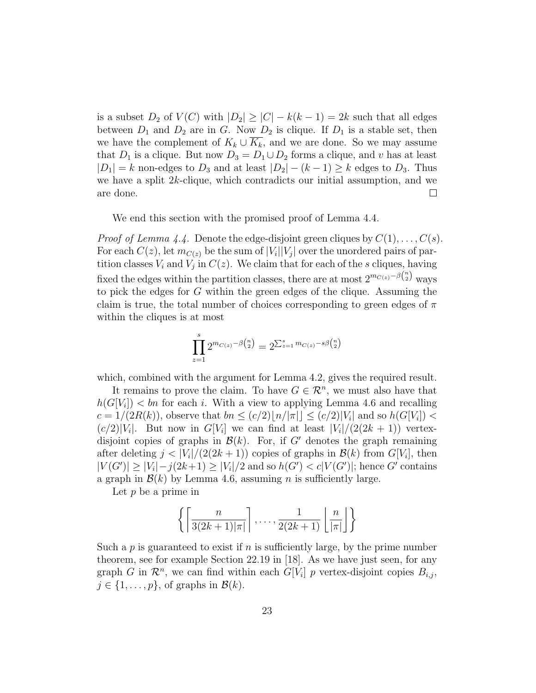is a subset  $D_2$  of  $V(C)$  with  $|D_2| \geq |C| - k(k-1) = 2k$  such that all edges between  $D_1$  and  $D_2$  are in G. Now  $D_2$  is clique. If  $D_1$  is a stable set, then we have the complement of  $K_k \cup \overline{K_k}$ , and we are done. So we may assume that  $D_1$  is a clique. But now  $D_3 = D_1 \cup D_2$  forms a clique, and v has at least  $|D_1| = k$  non-edges to  $D_3$  and at least  $|D_2| - (k - 1) \geq k$  edges to  $D_3$ . Thus we have a split 2k-clique, which contradicts our initial assumption, and we are done.  $\Box$ 

We end this section with the promised proof of Lemma 4.4.

*Proof of Lemma 4.4.* Denote the edge-disjoint green cliques by  $C(1), \ldots, C(s)$ . For each  $C(z)$ , let  $m_{C(z)}$  be the sum of  $|V_i||V_j|$  over the unordered pairs of partition classes  $V_i$  and  $V_j$  in  $C(z)$ . We claim that for each of the s cliques, having fixed the edges within the partition classes, there are at most  $2^{m_{C(z)}-\beta {n \choose 2}}$  ways to pick the edges for G within the green edges of the clique. Assuming the claim is true, the total number of choices corresponding to green edges of  $\pi$ within the cliques is at most

$$
\prod_{z=1}^{s} 2^{m_{C(z)} - \beta {n \choose 2}} = 2^{\sum_{z=1}^{s} m_{C(z)} - s\beta {n \choose 2}}
$$

which, combined with the argument for Lemma 4.2, gives the required result.

It remains to prove the claim. To have  $G \in \mathbb{R}^n$ , we must also have that  $h(G[V_i]) < bn$  for each i. With a view to applying Lemma 4.6 and recalling  $c = 1/(2R(k))$ , observe that  $bn \le (c/2) \lfloor n/|\pi| \rfloor \le (c/2) |V_i|$  and so  $h(G[V_i]) <$  $(c/2)|V_i|$ . But now in  $G[V_i]$  we can find at least  $|V_i|/(2(2k+1))$  vertexdisjoint copies of graphs in  $\mathcal{B}(k)$ . For, if G' denotes the graph remaining after deleting  $j < |V_i|/(2(2k+1))$  copies of graphs in  $\mathcal{B}(k)$  from  $G[V_i]$ , then  $|V(G')| \geq |V_i| - j(2k+1) \geq |V_i|/2$  and so  $h(G') < c|V(G')|$ ; hence G' contains a graph in  $\mathcal{B}(k)$  by Lemma 4.6, assuming *n* is sufficiently large.

Let  $p$  be a prime in

$$
\left\{ \left\lceil \frac{n}{3(2k+1)|\pi|} \right\rceil, \ldots, \frac{1}{2(2k+1)} \left\lfloor \frac{n}{|\pi|} \right\rfloor \right\}
$$

Such a  $p$  is guaranteed to exist if  $n$  is sufficiently large, by the prime number theorem, see for example Section 22.19 in [18]. As we have just seen, for any graph G in  $\mathcal{R}^n$ , we can find within each  $G[V_i]$  p vertex-disjoint copies  $B_{i,j}$ ,  $j \in \{1, \ldots, p\}$ , of graphs in  $\mathcal{B}(k)$ .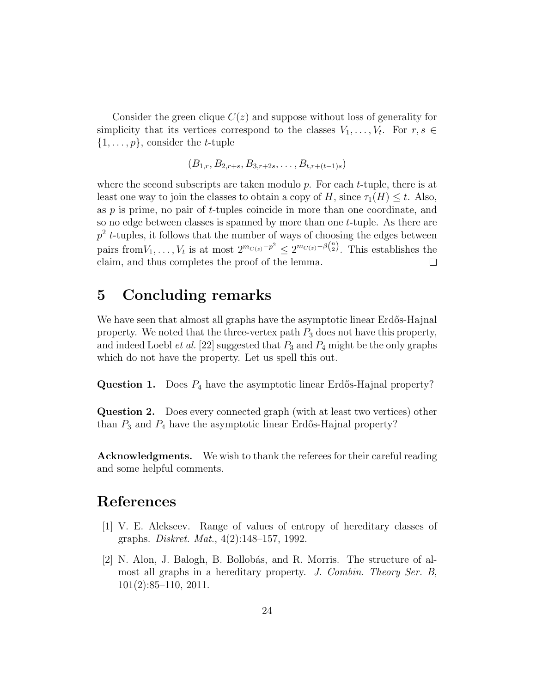Consider the green clique  $C(z)$  and suppose without loss of generality for simplicity that its vertices correspond to the classes  $V_1, \ldots, V_t$ . For  $r, s \in$  $\{1, \ldots, p\}$ , consider the *t*-tuple

$$
(B_{1,r}, B_{2,r+s}, B_{3,r+2s}, \ldots, B_{t,r+(t-1)s})
$$

where the second subscripts are taken modulo  $p$ . For each  $t$ -tuple, there is at least one way to join the classes to obtain a copy of H, since  $\tau_1(H) \leq t$ . Also, as p is prime, no pair of t-tuples coincide in more than one coordinate, and so no edge between classes is spanned by more than one  $t$ -tuple. As there are  $p^2$  *t*-tuples, it follows that the number of ways of choosing the edges between pairs from  $V_1, \ldots, V_t$  is at most  $2^{m_{C(z)}-p^2} \leq 2^{m_{C(z)}-\beta {n \choose 2}}$ . This establishes the claim, and thus completes the proof of the lemma.  $\Box$ 

## 5 Concluding remarks

We have seen that almost all graphs have the asymptotic linear Erdős-Hajnal property. We noted that the three-vertex path  $P_3$  does not have this property, and indeed Loebl *et al.* [22] suggested that  $P_3$  and  $P_4$  might be the only graphs which do not have the property. Let us spell this out.

**Question 1.** Does  $P_4$  have the asymptotic linear Erdős-Hajnal property?

Question 2. Does every connected graph (with at least two vertices) other than  $P_3$  and  $P_4$  have the asymptotic linear Erdős-Hajnal property?

Acknowledgments. We wish to thank the referees for their careful reading and some helpful comments.

### References

- [1] V. E. Alekseev. Range of values of entropy of hereditary classes of graphs. Diskret. Mat., 4(2):148–157, 1992.
- [2] N. Alon, J. Balogh, B. Bollobás, and R. Morris. The structure of almost all graphs in a hereditary property. J. Combin. Theory Ser. B, 101(2):85–110, 2011.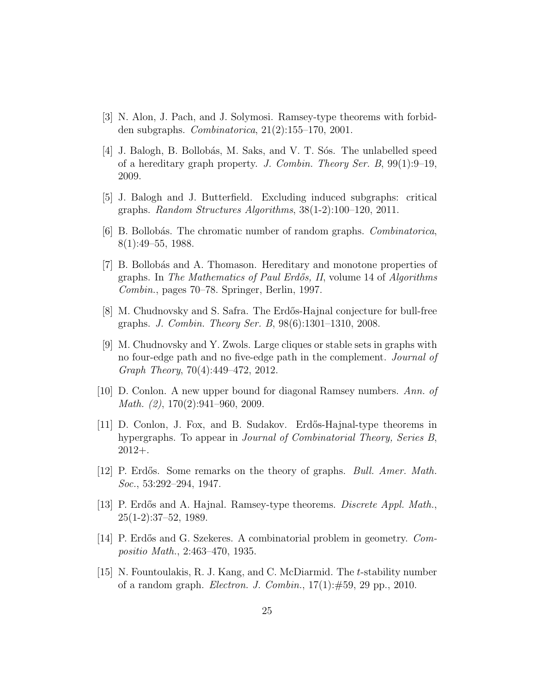- [3] N. Alon, J. Pach, and J. Solymosi. Ramsey-type theorems with forbidden subgraphs. Combinatorica, 21(2):155–170, 2001.
- [4] J. Balogh, B. Bollobás, M. Saks, and V. T. Sós. The unlabelled speed of a hereditary graph property. J. Combin. Theory Ser. B,  $99(1):9-19$ , 2009.
- [5] J. Balogh and J. Butterfield. Excluding induced subgraphs: critical graphs. Random Structures Algorithms, 38(1-2):100–120, 2011.
- [6] B. Bollobás. The chromatic number of random graphs. *Combinatorica*, 8(1):49–55, 1988.
- [7] B. Bollob´as and A. Thomason. Hereditary and monotone properties of graphs. In The Mathematics of Paul Erdős, II, volume 14 of Algorithms Combin., pages 70–78. Springer, Berlin, 1997.
- [8] M. Chudnovsky and S. Safra. The Erd˝os-Hajnal conjecture for bull-free graphs. J. Combin. Theory Ser. B, 98(6):1301–1310, 2008.
- [9] M. Chudnovsky and Y. Zwols. Large cliques or stable sets in graphs with no four-edge path and no five-edge path in the complement. Journal of Graph Theory, 70(4):449–472, 2012.
- [10] D. Conlon. A new upper bound for diagonal Ramsey numbers. Ann. of Math. (2), 170(2):941–960, 2009.
- [11] D. Conlon, J. Fox, and B. Sudakov. Erd˝os-Hajnal-type theorems in hypergraphs. To appear in *Journal of Combinatorial Theory, Series B*, 2012+.
- [12] P. Erdős. Some remarks on the theory of graphs. *Bull. Amer. Math.* Soc., 53:292–294, 1947.
- [13] P. Erdős and A. Hajnal. Ramsey-type theorems. *Discrete Appl. Math.*, 25(1-2):37–52, 1989.
- [14] P. Erdős and G. Szekeres. A combinatorial problem in geometry. Compositio Math., 2:463–470, 1935.
- [15] N. Fountoulakis, R. J. Kang, and C. McDiarmid. The t-stability number of a random graph. *Electron. J. Combin.*,  $17(1): \#59$ , 29 pp., 2010.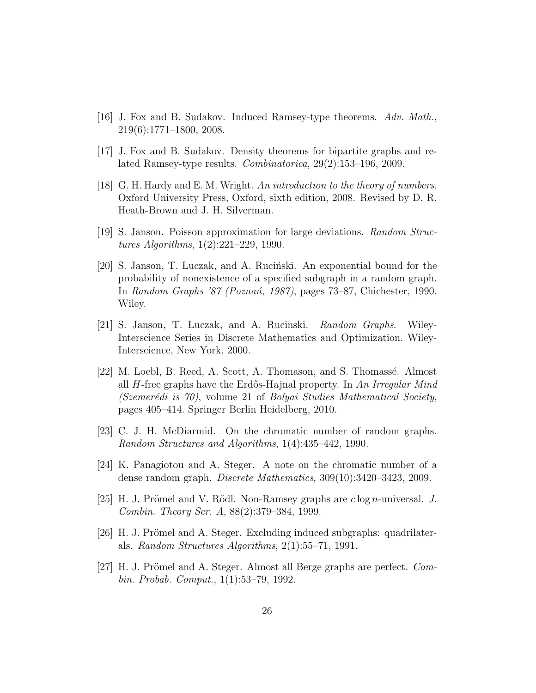- [16] J. Fox and B. Sudakov. Induced Ramsey-type theorems.  $Adv. Math.$ 219(6):1771–1800, 2008.
- [17] J. Fox and B. Sudakov. Density theorems for bipartite graphs and related Ramsey-type results. Combinatorica, 29(2):153–196, 2009.
- [18] G. H. Hardy and E. M. Wright. An introduction to the theory of numbers. Oxford University Press, Oxford, sixth edition, 2008. Revised by D. R. Heath-Brown and J. H. Silverman.
- [19] S. Janson. Poisson approximation for large deviations. Random Structures Algorithms, 1(2):221–229, 1990.
- [20] S. Janson, T. Luczak, and A. Rucinski. An exponential bound for the probability of nonexistence of a specified subgraph in a random graph. In Random Graphs '87 (Poznań, 1987), pages 73–87, Chichester, 1990. Wiley.
- [21] S. Janson, T. Luczak, and A. Rucinski. Random Graphs. Wiley-Interscience Series in Discrete Mathematics and Optimization. Wiley-Interscience, New York, 2000.
- [22] M. Loebl, B. Reed, A. Scott, A. Thomason, and S. Thomass´e. Almost all  $H$ -free graphs have the Erdős-Hajnal property. In An Irregular Mind  $(Szemerédi is 70)$ , volume 21 of Bolyai Studies Mathematical Society, pages 405–414. Springer Berlin Heidelberg, 2010.
- [23] C. J. H. McDiarmid. On the chromatic number of random graphs. Random Structures and Algorithms, 1(4):435–442, 1990.
- [24] K. Panagiotou and A. Steger. A note on the chromatic number of a dense random graph. Discrete Mathematics, 309(10):3420–3423, 2009.
- [25] H. J. Prömel and V. Rödl. Non-Ramsey graphs are  $c \log n$ -universal. J. Combin. Theory Ser. A, 88(2):379–384, 1999.
- [26] H. J. Prömel and A. Steger. Excluding induced subgraphs: quadrilaterals. Random Structures Algorithms, 2(1):55–71, 1991.
- [27] H. J. Prömel and A. Steger. Almost all Berge graphs are perfect. Combin. Probab. Comput., 1(1):53–79, 1992.